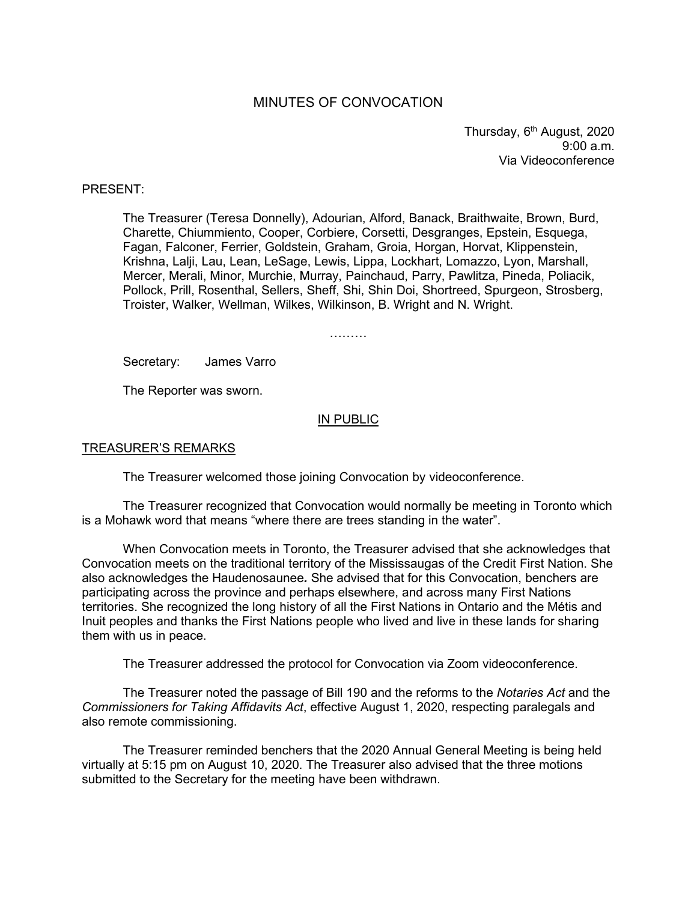# MINUTES OF CONVOCATION

Thursday, 6<sup>th</sup> August, 2020 9:00 a.m. Via Videoconference

### PRESENT:

The Treasurer (Teresa Donnelly), Adourian, Alford, Banack, Braithwaite, Brown, Burd, Charette, Chiummiento, Cooper, Corbiere, Corsetti, Desgranges, Epstein, Esquega, Fagan, Falconer, Ferrier, Goldstein, Graham, Groia, Horgan, Horvat, Klippenstein, Krishna, Lalji, Lau, Lean, LeSage, Lewis, Lippa, Lockhart, Lomazzo, Lyon, Marshall, Mercer, Merali, Minor, Murchie, Murray, Painchaud, Parry, Pawlitza, Pineda, Poliacik, Pollock, Prill, Rosenthal, Sellers, Sheff, Shi, Shin Doi, Shortreed, Spurgeon, Strosberg, Troister, Walker, Wellman, Wilkes, Wilkinson, B. Wright and N. Wright.

………

Secretary: James Varro

The Reporter was sworn.

#### IN PUBLIC

#### TREASURER'S REMARKS

The Treasurer welcomed those joining Convocation by videoconference.

The Treasurer recognized that Convocation would normally be meeting in Toronto which is a Mohawk word that means "where there are trees standing in the water".

When Convocation meets in Toronto, the Treasurer advised that she acknowledges that Convocation meets on the traditional territory of the Mississaugas of the Credit First Nation. She also acknowledges the Haudenosaunee*.* She advised that for this Convocation, benchers are participating across the province and perhaps elsewhere, and across many First Nations territories. She recognized the long history of all the First Nations in Ontario and the Métis and Inuit peoples and thanks the First Nations people who lived and live in these lands for sharing them with us in peace.

The Treasurer addressed the protocol for Convocation via Zoom videoconference.

The Treasurer noted the passage of Bill 190 and the reforms to the *Notaries Act* and the *Commissioners for Taking Affidavits Act*, effective August 1, 2020, respecting paralegals and also remote commissioning.

The Treasurer reminded benchers that the 2020 Annual General Meeting is being held virtually at 5:15 pm on August 10, 2020. The Treasurer also advised that the three motions submitted to the Secretary for the meeting have been withdrawn.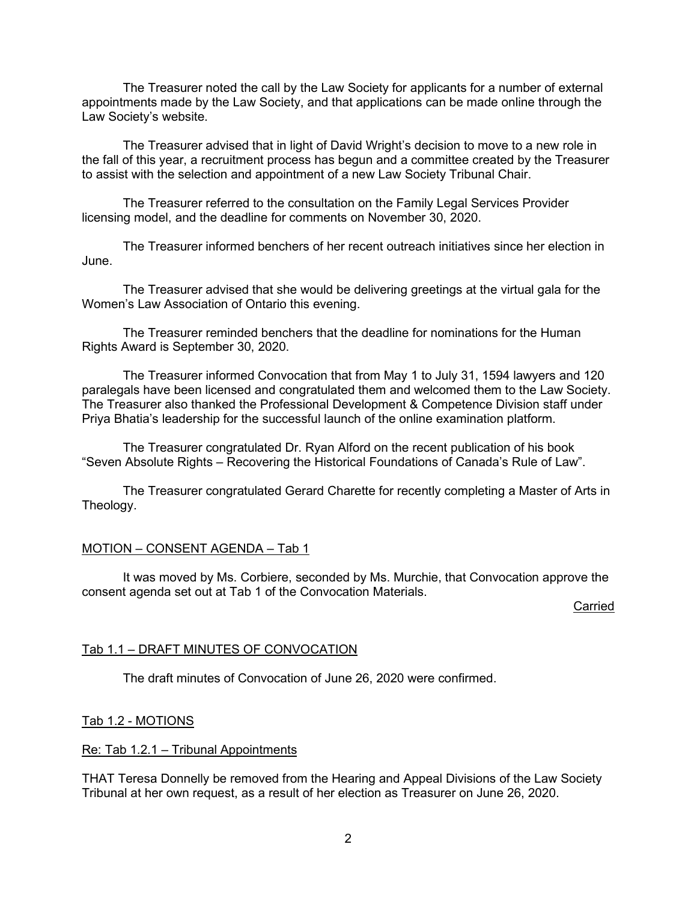The Treasurer noted the call by the Law Society for applicants for a number of external appointments made by the Law Society, and that applications can be made online through the Law Society's website.

The Treasurer advised that in light of David Wright's decision to move to a new role in the fall of this year, a recruitment process has begun and a committee created by the Treasurer to assist with the selection and appointment of a new Law Society Tribunal Chair.

The Treasurer referred to the consultation on the Family Legal Services Provider licensing model, and the deadline for comments on November 30, 2020.

The Treasurer informed benchers of her recent outreach initiatives since her election in June.

The Treasurer advised that she would be delivering greetings at the virtual gala for the Women's Law Association of Ontario this evening.

The Treasurer reminded benchers that the deadline for nominations for the Human Rights Award is September 30, 2020.

The Treasurer informed Convocation that from May 1 to July 31, 1594 lawyers and 120 paralegals have been licensed and congratulated them and welcomed them to the Law Society. The Treasurer also thanked the Professional Development & Competence Division staff under Priya Bhatia's leadership for the successful launch of the online examination platform.

The Treasurer congratulated Dr. Ryan Alford on the recent publication of his book "Seven Absolute Rights – Recovering the Historical Foundations of Canada's Rule of Law".

The Treasurer congratulated Gerard Charette for recently completing a Master of Arts in Theology.

## MOTION – CONSENT AGENDA – Tab 1

It was moved by Ms. Corbiere, seconded by Ms. Murchie, that Convocation approve the consent agenda set out at Tab 1 of the Convocation Materials.

Carried

## Tab 1.1 – DRAFT MINUTES OF CONVOCATION

The draft minutes of Convocation of June 26, 2020 were confirmed.

## Tab 1.2 - MOTIONS

## Re: Tab 1.2.1 – Tribunal Appointments

THAT Teresa Donnelly be removed from the Hearing and Appeal Divisions of the Law Society Tribunal at her own request, as a result of her election as Treasurer on June 26, 2020.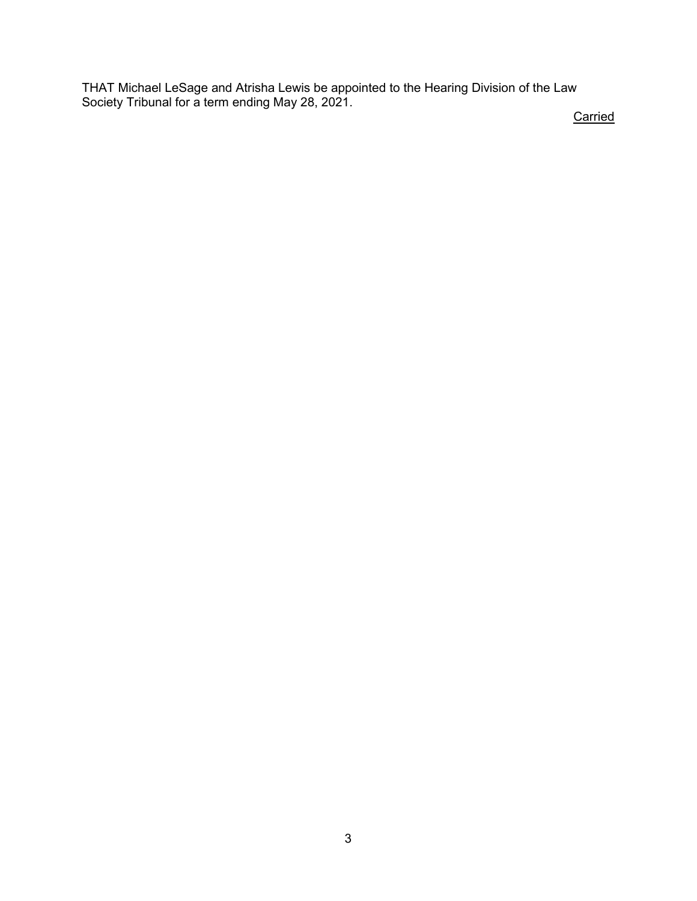THAT Michael LeSage and Atrisha Lewis be appointed to the Hearing Division of the Law Society Tribunal for a term ending May 28, 2021.

**Carried**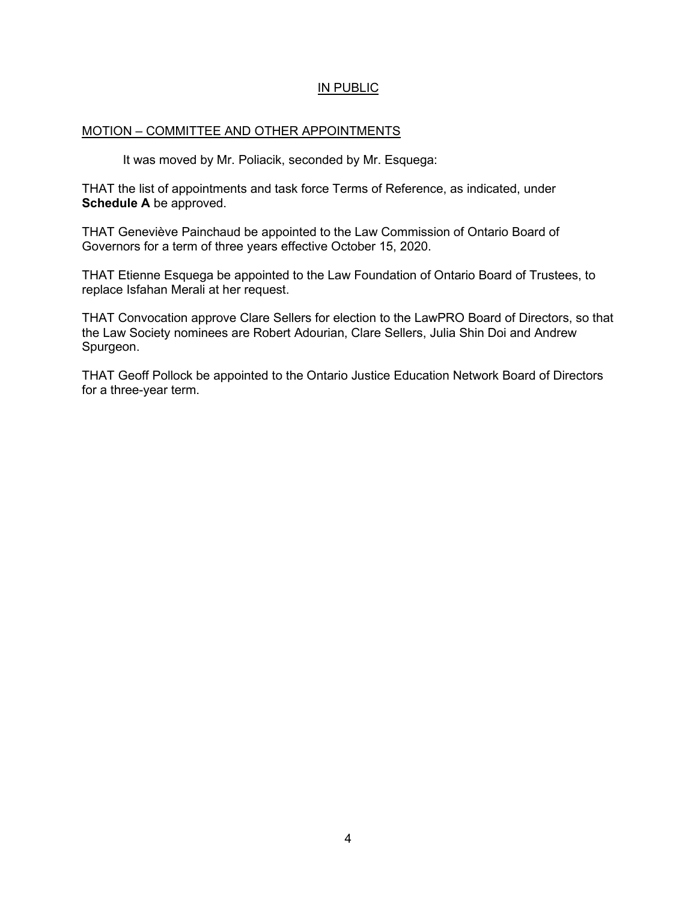## IN PUBLIC

## MOTION – COMMITTEE AND OTHER APPOINTMENTS

It was moved by Mr. Poliacik, seconded by Mr. Esquega:

THAT the list of appointments and task force Terms of Reference, as indicated, under **Schedule A** be approved.

THAT Geneviève Painchaud be appointed to the Law Commission of Ontario Board of Governors for a term of three years effective October 15, 2020.

THAT Etienne Esquega be appointed to the Law Foundation of Ontario Board of Trustees, to replace Isfahan Merali at her request.

THAT Convocation approve Clare Sellers for election to the LawPRO Board of Directors, so that the Law Society nominees are Robert Adourian, Clare Sellers, Julia Shin Doi and Andrew Spurgeon.

THAT Geoff Pollock be appointed to the Ontario Justice Education Network Board of Directors for a three-year term.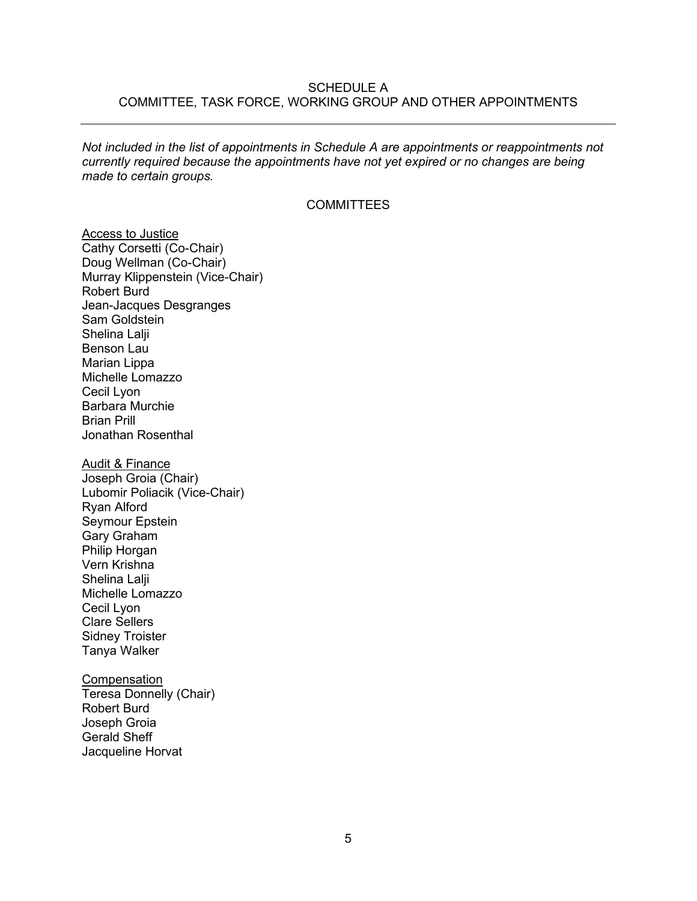### SCHEDULE A COMMITTEE, TASK FORCE, WORKING GROUP AND OTHER APPOINTMENTS

*Not included in the list of appointments in Schedule A are appointments or reappointments not currently required because the appointments have not yet expired or no changes are being made to certain groups.*

#### **COMMITTEES**

**Access to Justice** Cathy Corsetti (Co-Chair) Doug Wellman (Co-Chair) Murray Klippenstein (Vice-Chair) Robert Burd Jean-Jacques Desgranges Sam Goldstein Shelina Lalii Benson Lau Marian Lippa Michelle Lomazzo Cecil Lyon Barbara Murchie Brian Prill Jonathan Rosenthal

Audit & Finance Joseph Groia (Chair) Lubomir Poliacik (Vice-Chair) Ryan Alford Seymour Epstein Gary Graham Philip Horgan Vern Krishna Shelina Lalji Michelle Lomazzo Cecil Lyon Clare Sellers Sidney Troister Tanya Walker

**Compensation** Teresa Donnelly (Chair) Robert Burd Joseph Groia Gerald Sheff Jacqueline Horvat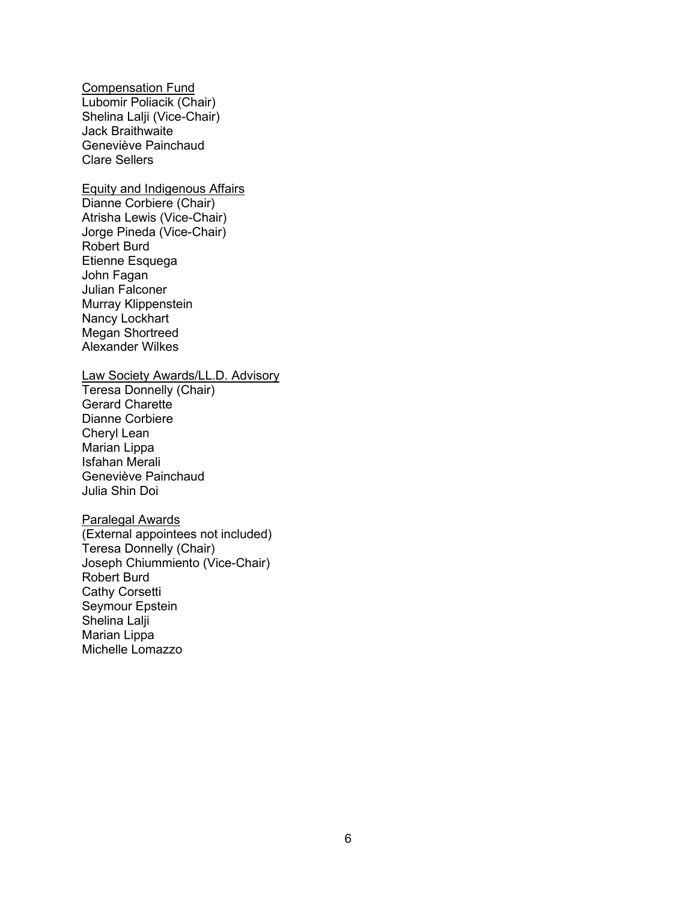Compensation Fund Lubomir Poliacik (Chair) Shelina Lalji (Vice-Chair) Jack Braithwaite Geneviève Painchaud Clare Sellers

### Equity and Indigenous Affairs

Dianne Corbiere (Chair) Atrisha Lewis (Vice-Chair) Jorge Pineda (Vice-Chair) Robert Burd Etienne Esquega John Fagan Julian Falconer Murray Klippenstein Nancy Lockhart Megan Shortreed Alexander Wilkes

#### Law Society Awards/LL.D. Advisory

Teresa Donnelly (Chair) Gerard Charette Dianne Corbiere Cheryl Lean Marian Lippa Isfahan Merali Geneviève Painchaud Julia Shin Doi

### Paralegal Awards

(External appointees not included) Teresa Donnelly (Chair) Joseph Chiummiento (Vice-Chair) Robert Burd Cathy Corsetti Seymour Epstein Shelina Lalji Marian Lippa Michelle Lomazzo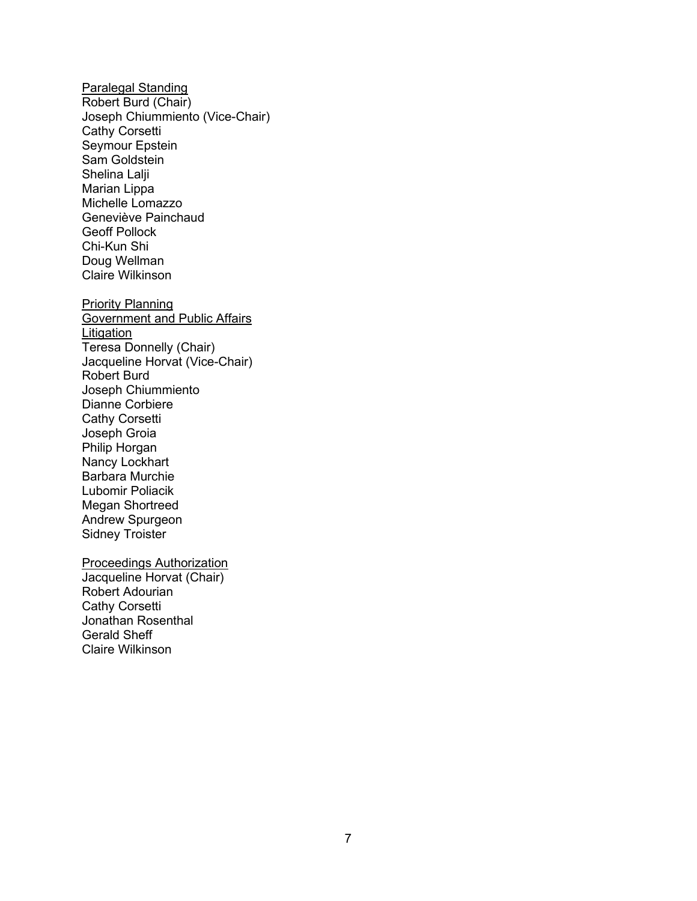Paralegal Standing Robert Burd (Chair) Joseph Chiummiento (Vice-Chair) Cathy Corsetti Seymour Epstein Sam Goldstein Shelina Lalji Marian Lippa Michelle Lomazzo Geneviève Painchaud Geoff Pollock Chi-Kun Shi Doug Wellman Claire Wilkinson Priority Planning Government and Public Affairs Litigation Teresa Donnelly (Chair) Jacqueline Horvat (Vice-Chair) Robert Burd Joseph Chiummiento Dianne Corbiere Cathy Corsetti Joseph Groia Philip Horgan Nancy Lockhart Barbara Murchie Lubomir Poliacik Megan Shortreed Andrew Spurgeon Sidney Troister

Proceedings Authorization

Jacqueline Horvat (Chair) Robert Adourian Cathy Corsetti Jonathan Rosenthal Gerald Sheff Claire Wilkinson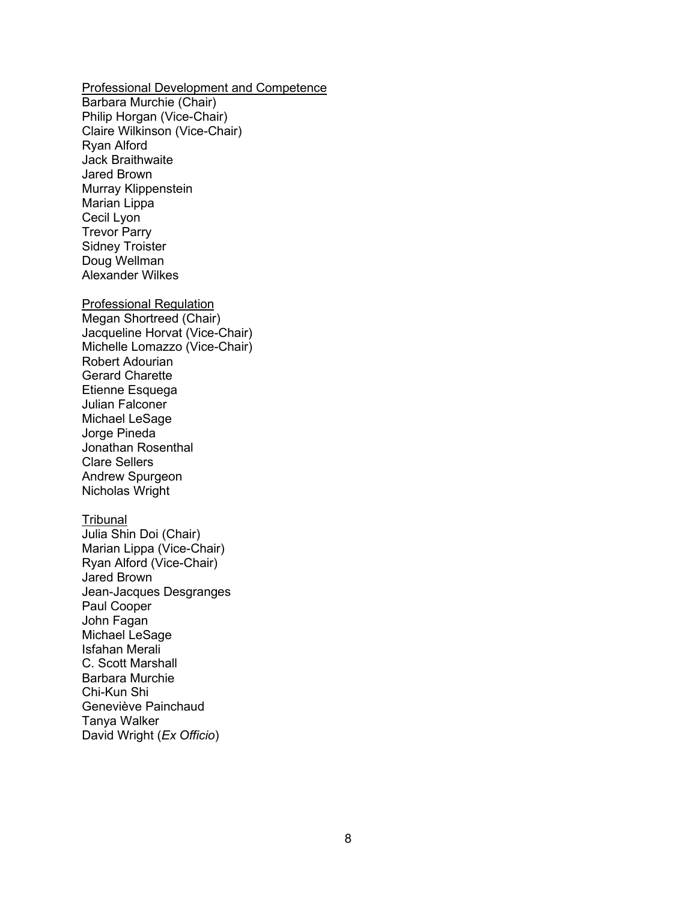Professional Development and Competence

Barbara Murchie (Chair) Philip Horgan (Vice-Chair) Claire Wilkinson (Vice-Chair) Ryan Alford Jack Braithwaite Jared Brown Murray Klippenstein Marian Lippa Cecil Lyon Trevor Parry Sidney Troister Doug Wellman Alexander Wilkes

### Professional Regulation

Megan Shortreed (Chair) Jacqueline Horvat (Vice-Chair) Michelle Lomazzo (Vice-Chair) Robert Adourian Gerard Charette Etienne Esquega Julian Falconer Michael LeSage Jorge Pineda Jonathan Rosenthal Clare Sellers Andrew Spurgeon Nicholas Wright

#### **Tribunal**

Julia Shin Doi (Chair) Marian Lippa (Vice-Chair) Ryan Alford (Vice-Chair) Jared Brown Jean-Jacques Desgranges Paul Cooper John Fagan Michael LeSage Isfahan Merali C. Scott Marshall Barbara Murchie Chi-Kun Shi Geneviève Painchaud Tanya Walker David Wright (*Ex Officio*)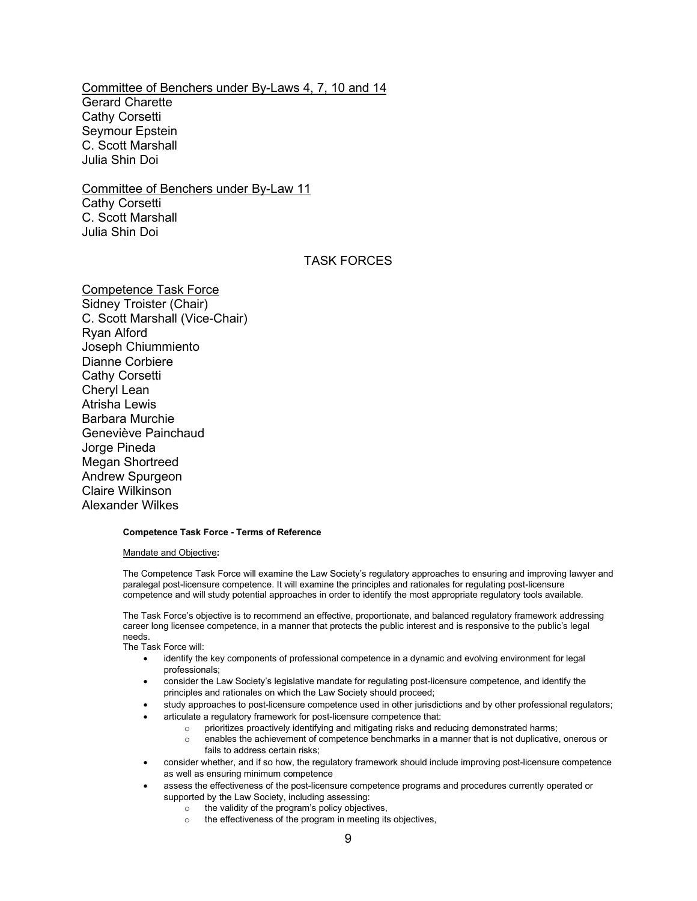# Committee of Benchers under By-Laws 4, 7, 10 and 14

Gerard Charette Cathy Corsetti Seymour Epstein C. Scott Marshall Julia Shin Doi

## Committee of Benchers under By-Law 11

Cathy Corsetti C. Scott Marshall Julia Shin Doi

#### TASK FORCES

Competence Task Force Sidney Troister (Chair) C. Scott Marshall (Vice-Chair) Ryan Alford Joseph Chiummiento Dianne Corbiere Cathy Corsetti Cheryl Lean Atrisha Lewis Barbara Murchie Geneviève Painchaud Jorge Pineda Megan Shortreed Andrew Spurgeon Claire Wilkinson Alexander Wilkes

#### **Competence Task Force - Terms of Reference**

#### Mandate and Objective**:**

The Competence Task Force will examine the Law Society's regulatory approaches to ensuring and improving lawyer and paralegal post-licensure competence. It will examine the principles and rationales for regulating post-licensure competence and will study potential approaches in order to identify the most appropriate regulatory tools available.

The Task Force's objective is to recommend an effective, proportionate, and balanced regulatory framework addressing career long licensee competence, in a manner that protects the public interest and is responsive to the public's legal needs.

The Task Force will:

- identify the key components of professional competence in a dynamic and evolving environment for legal professionals;
- consider the Law Society's legislative mandate for regulating post-licensure competence, and identify the principles and rationales on which the Law Society should proceed;
- study approaches to post-licensure competence used in other jurisdictions and by other professional regulators;
- articulate a regulatory framework for post-licensure competence that:
	- o prioritizes proactively identifying and mitigating risks and reducing demonstrated harms;
	- enables the achievement of competence benchmarks in a manner that is not duplicative, onerous or fails to address certain risks;
- consider whether, and if so how, the regulatory framework should include improving post-licensure competence as well as ensuring minimum competence
- assess the effectiveness of the post-licensure competence programs and procedures currently operated or supported by the Law Society, including assessing:
	- o the validity of the program's policy objectives,
	- o the effectiveness of the program in meeting its objectives,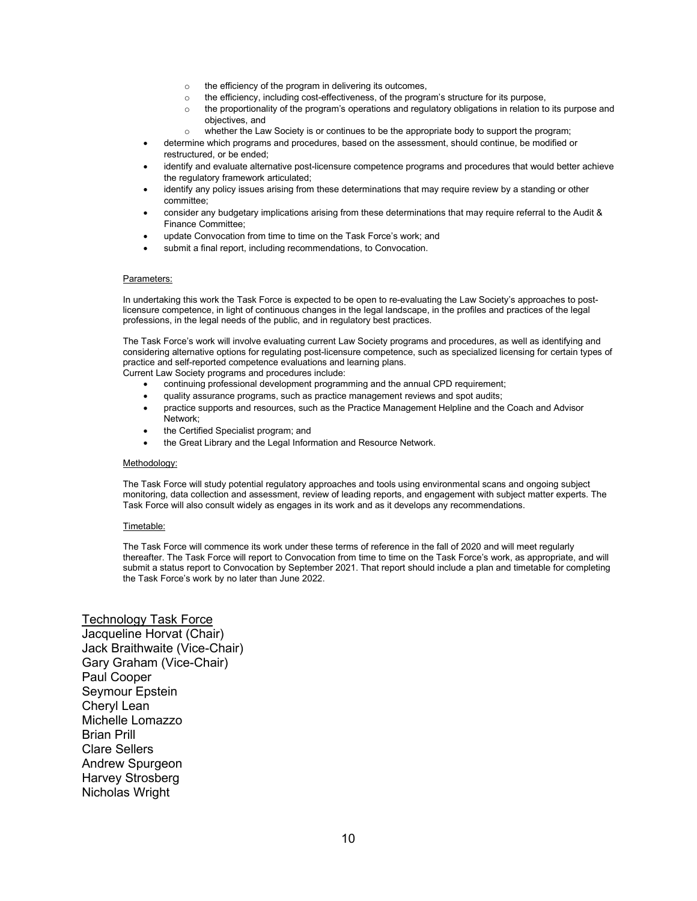- o the efficiency of the program in delivering its outcomes,
- o the efficiency, including cost-effectiveness, of the program's structure for its purpose,
- o the proportionality of the program's operations and regulatory obligations in relation to its purpose and objectives, and
- whether the Law Society is or continues to be the appropriate body to support the program;
- determine which programs and procedures, based on the assessment, should continue, be modified or restructured, or be ended;
- identify and evaluate alternative post-licensure competence programs and procedures that would better achieve the regulatory framework articulated;
- identify any policy issues arising from these determinations that may require review by a standing or other committee;
- consider any budgetary implications arising from these determinations that may require referral to the Audit & Finance Committee;
- update Convocation from time to time on the Task Force's work; and
- submit a final report, including recommendations, to Convocation.

#### Parameters:

In undertaking this work the Task Force is expected to be open to re-evaluating the Law Society's approaches to postlicensure competence, in light of continuous changes in the legal landscape, in the profiles and practices of the legal professions, in the legal needs of the public, and in regulatory best practices.

The Task Force's work will involve evaluating current Law Society programs and procedures, as well as identifying and considering alternative options for regulating post-licensure competence, such as specialized licensing for certain types of practice and self-reported competence evaluations and learning plans.

Current Law Society programs and procedures include:

- continuing professional development programming and the annual CPD requirement;
- quality assurance programs, such as practice management reviews and spot audits;
- practice supports and resources, such as the Practice Management Helpline and the Coach and Advisor
- Network; • the Certified Specialist program; and
- the Great Library and the Legal Information and Resource Network.

#### Methodology:

The Task Force will study potential regulatory approaches and tools using environmental scans and ongoing subject monitoring, data collection and assessment, review of leading reports, and engagement with subject matter experts. The Task Force will also consult widely as engages in its work and as it develops any recommendations.

#### Timetable:

The Task Force will commence its work under these terms of reference in the fall of 2020 and will meet regularly thereafter. The Task Force will report to Convocation from time to time on the Task Force's work, as appropriate, and will submit a status report to Convocation by September 2021. That report should include a plan and timetable for completing the Task Force's work by no later than June 2022.

#### Technology Task Force

Jacqueline Horvat (Chair) Jack Braithwaite (Vice-Chair) Gary Graham (Vice-Chair) Paul Cooper Seymour Epstein Cheryl Lean Michelle Lomazzo Brian Prill Clare Sellers Andrew Spurgeon Harvey Strosberg Nicholas Wright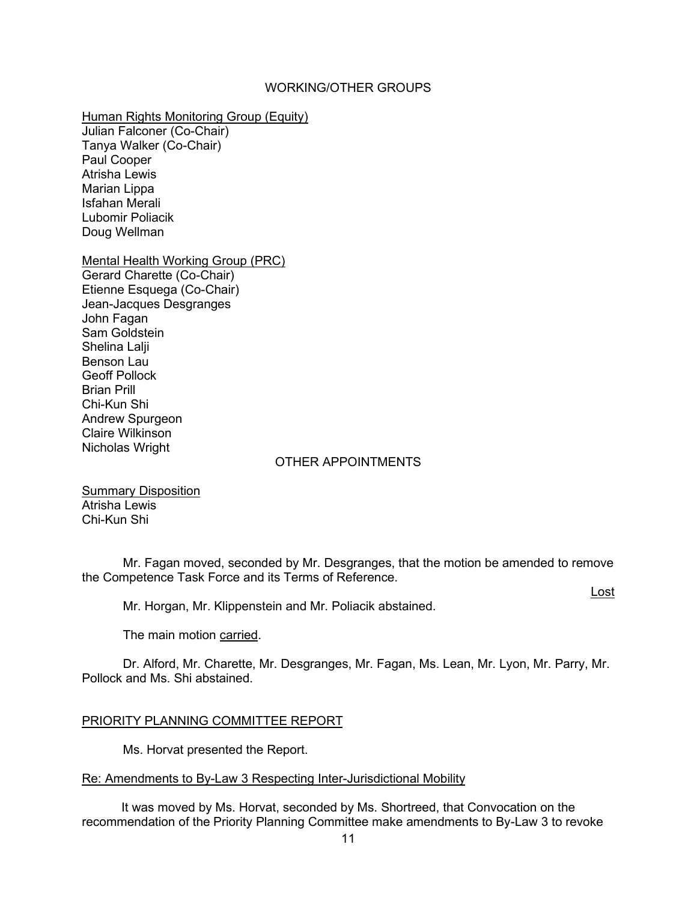### WORKING/OTHER GROUPS

### Human Rights Monitoring Group (Equity)

Julian Falconer (Co-Chair) Tanya Walker (Co-Chair) Paul Cooper Atrisha Lewis Marian Lippa Isfahan Merali Lubomir Poliacik Doug Wellman

# Mental Health Working Group (PRC)

Gerard Charette (Co-Chair) Etienne Esquega (Co-Chair) Jean-Jacques Desgranges John Fagan Sam Goldstein Shelina Lalii Benson Lau Geoff Pollock Brian Prill Chi-Kun Shi Andrew Spurgeon Claire Wilkinson Nicholas Wright

### OTHER APPOINTMENTS

Summary Disposition Atrisha Lewis Chi-Kun Shi

Mr. Fagan moved, seconded by Mr. Desgranges, that the motion be amended to remove the Competence Task Force and its Terms of Reference.

Lost

Mr. Horgan, Mr. Klippenstein and Mr. Poliacik abstained.

The main motion carried.

Dr. Alford, Mr. Charette, Mr. Desgranges, Mr. Fagan, Ms. Lean, Mr. Lyon, Mr. Parry, Mr. Pollock and Ms. Shi abstained.

### PRIORITY PLANNING COMMITTEE REPORT

Ms. Horvat presented the Report.

### Re: Amendments to By-Law 3 Respecting Inter-Jurisdictional Mobility

It was moved by Ms. Horvat, seconded by Ms. Shortreed, that Convocation on the recommendation of the Priority Planning Committee make amendments to By-Law 3 to revoke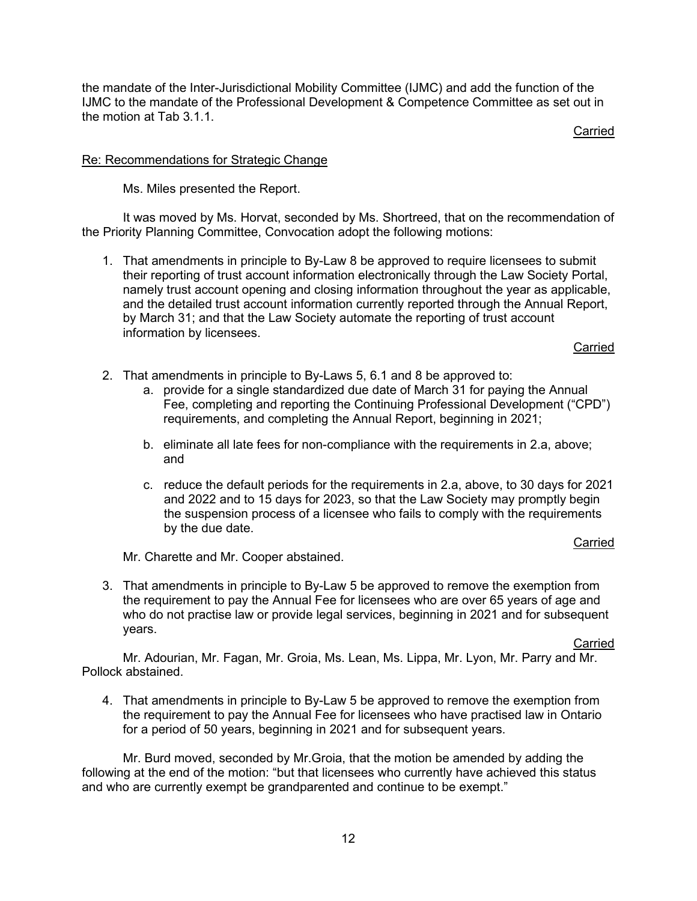the mandate of the Inter-Jurisdictional Mobility Committee (IJMC) and add the function of the IJMC to the mandate of the Professional Development & Competence Committee as set out in the motion at Tab 3.1.1.

Carried

### Re: Recommendations for Strategic Change

Ms. Miles presented the Report.

It was moved by Ms. Horvat, seconded by Ms. Shortreed, that on the recommendation of the Priority Planning Committee, Convocation adopt the following motions:

1. That amendments in principle to By-Law 8 be approved to require licensees to submit their reporting of trust account information electronically through the Law Society Portal, namely trust account opening and closing information throughout the year as applicable, and the detailed trust account information currently reported through the Annual Report, by March 31; and that the Law Society automate the reporting of trust account information by licensees.

Carried

- 2. That amendments in principle to By-Laws 5, 6.1 and 8 be approved to:
	- a. provide for a single standardized due date of March 31 for paying the Annual Fee, completing and reporting the Continuing Professional Development ("CPD") requirements, and completing the Annual Report, beginning in 2021;
	- b. eliminate all late fees for non-compliance with the requirements in 2.a, above; and
	- c. reduce the default periods for the requirements in 2.a, above, to 30 days for 2021 and 2022 and to 15 days for 2023, so that the Law Society may promptly begin the suspension process of a licensee who fails to comply with the requirements by the due date.

#### Carried

Mr. Charette and Mr. Cooper abstained.

3. That amendments in principle to By-Law 5 be approved to remove the exemption from the requirement to pay the Annual Fee for licensees who are over 65 years of age and who do not practise law or provide legal services, beginning in 2021 and for subsequent years.

Carried

Mr. Adourian, Mr. Fagan, Mr. Groia, Ms. Lean, Ms. Lippa, Mr. Lyon, Mr. Parry and Mr. Pollock abstained.

4. That amendments in principle to By-Law 5 be approved to remove the exemption from the requirement to pay the Annual Fee for licensees who have practised law in Ontario for a period of 50 years, beginning in 2021 and for subsequent years.

Mr. Burd moved, seconded by Mr.Groia, that the motion be amended by adding the following at the end of the motion: "but that licensees who currently have achieved this status and who are currently exempt be grandparented and continue to be exempt."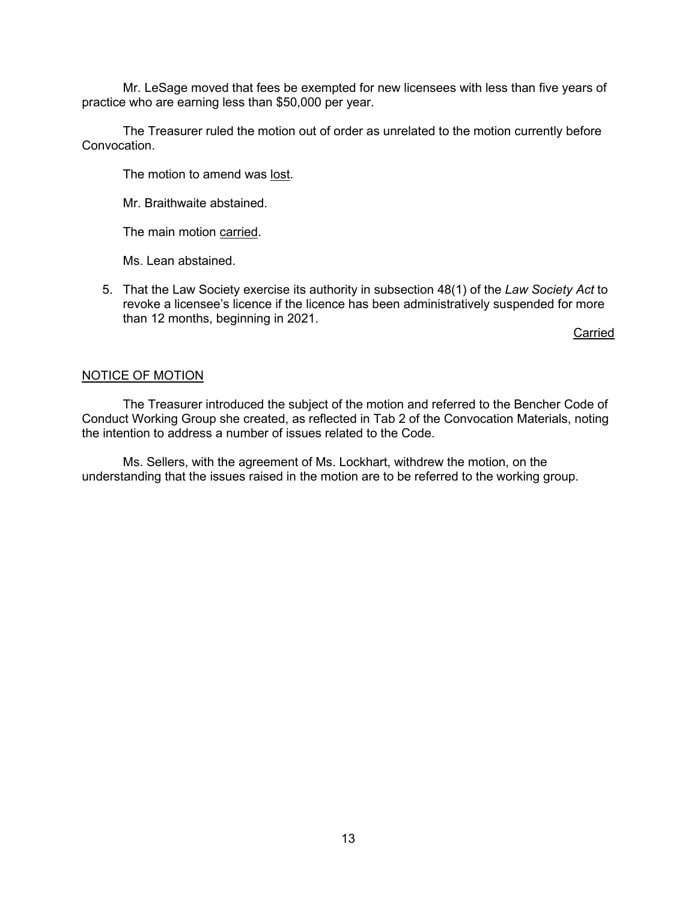Mr. LeSage moved that fees be exempted for new licensees with less than five years of practice who are earning less than \$50,000 per year.

The Treasurer ruled the motion out of order as unrelated to the motion currently before Convocation.

The motion to amend was lost.

Mr. Braithwaite abstained.

The main motion carried.

Ms. Lean abstained.

5. That the Law Society exercise its authority in subsection 48(1) of the *Law Society Act* to revoke a licensee's licence if the licence has been administratively suspended for more than 12 months, beginning in 2021.

Carried

### NOTICE OF MOTION

The Treasurer introduced the subject of the motion and referred to the Bencher Code of Conduct Working Group she created, as reflected in Tab 2 of the Convocation Materials, noting the intention to address a number of issues related to the Code.

Ms. Sellers, with the agreement of Ms. Lockhart, withdrew the motion, on the understanding that the issues raised in the motion are to be referred to the working group.